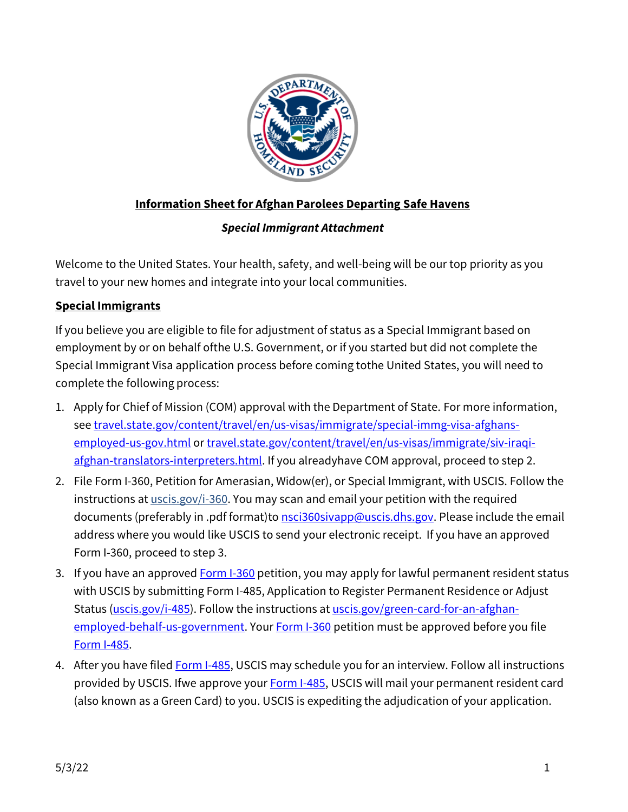

## **Information Sheetfor Afghan Parolees Departing Safe Havens**

## *Special Immigrant Attachment*

Welcome to the United States. Your health, safety, and well-being will be our top priority as you travel to your new homes and integrate into your local communities.

## **Special Immigrants**

If you believe you are eligible to file for adjustment of status as a Special Immigrant based on employment by or on behalf ofthe U.S. Government, or if you started but did not complete the Special Immigrant Visa application process before coming tothe United States, you will need to complete the following process:

- 1. Apply for Chief of Mission (COM) approval with the Department of State. For more information, see [travel.state.gov/content/travel/en/us-visas/immigrate/special-immg-visa-afghans](http://travel.state.gov/content/travel/en/us-visas/immigrate/special-immg-visa-afghans-employed-us-gov.html)[employed-us-gov.html](http://travel.state.gov/content/travel/en/us-visas/immigrate/special-immg-visa-afghans-employed-us-gov.html) or travel.state.gov/content/travel/en/us-visas/immigrate/siv-iraqiafghan-translators-interpreters.html. If you alreadyhave COM approval, proceed to step 2.
- 2. File Form I-360, Petition for Amerasian, Widow(er), or Special Immigrant, with USCIS. Follow the instructions at  $uscis.gov/i-360$ . You may scan and email your petition with the required</u> documents (preferably in .pdf format)to [nsci360sivapp@uscis.dhs.gov.](mailto:nsci360sivapp@uscis.dhs.gov) Please include the email address where you would like USCIS to send your electronic receipt. If you have an approved Form I-360, proceed to step 3.
- 3. If you have an approved **[Form I-360](http://www.uscis.gov/i-360)** petition, you may apply for lawful permanent resident status with USCIS by submitting Form I-485, Application to Register Permanent Residence or Adjust Status [\(uscis.gov/i-485\)](http://uscis.gov/i-485). Follow the instructions at [uscis.gov/green-card-for-an-afghan](http://www.uscis.gov/green-card-for-an-afghan-employed-behalf-us-government%20.)[employed-behalf-us-government.](http://www.uscis.gov/green-card-for-an-afghan-employed-behalf-us-government%20.) Your [Form I-360](http://www.uscis.gov/i-360) petition must be approved before you file [Form I-485.](https://www.uscis.gov/i-485)
- 4. After you have filed [Form I-485, U](https://www.uscis.gov/i-485)SCIS may schedule you for an interview. Follow all instructions provided by USCIS. Ifwe approve your [Form I-485,](https://www.uscis.gov/i-485) USCIS will mail your permanent resident card (also known as a Green Card) to you. USCIS is expediting the adjudication of your application.